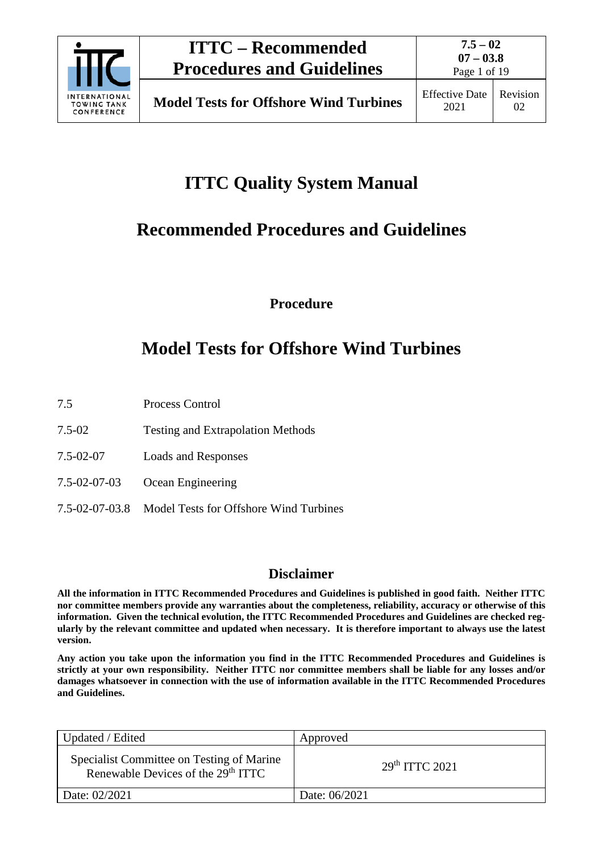

Page 1 of 19

# **ITTC Quality System Manual**

# **Recommended Procedures and Guidelines**

**Procedure**

# **Model Tests for Offshore Wind Turbines**

- 7.5 Process Control
- 7.5-02 Testing and Extrapolation Methods
- 7.5-02-07 Loads and Responses
- 7.5-02-07-03 Ocean Engineering
- 7.5-02-07-03.8 Model Tests for Offshore Wind Turbines

## **Disclaimer**

**All the information in ITTC Recommended Procedures and Guidelines is published in good faith. Neither ITTC nor committee members provide any warranties about the completeness, reliability, accuracy or otherwise of this information. Given the technical evolution, the ITTC Recommended Procedures and Guidelines are checked regularly by the relevant committee and updated when necessary. It is therefore important to always use the latest version.**

**Any action you take upon the information you find in the ITTC Recommended Procedures and Guidelines is strictly at your own responsibility. Neither ITTC nor committee members shall be liable for any losses and/or damages whatsoever in connection with the use of information available in the ITTC Recommended Procedures and Guidelines.**

| Updated / Edited                                                                            | Approved                   |
|---------------------------------------------------------------------------------------------|----------------------------|
| Specialist Committee on Testing of Marine<br>Renewable Devices of the 29 <sup>th</sup> ITTC | 29 <sup>th</sup> TTTC 2021 |
| Date: 02/2021                                                                               | Date: 06/2021              |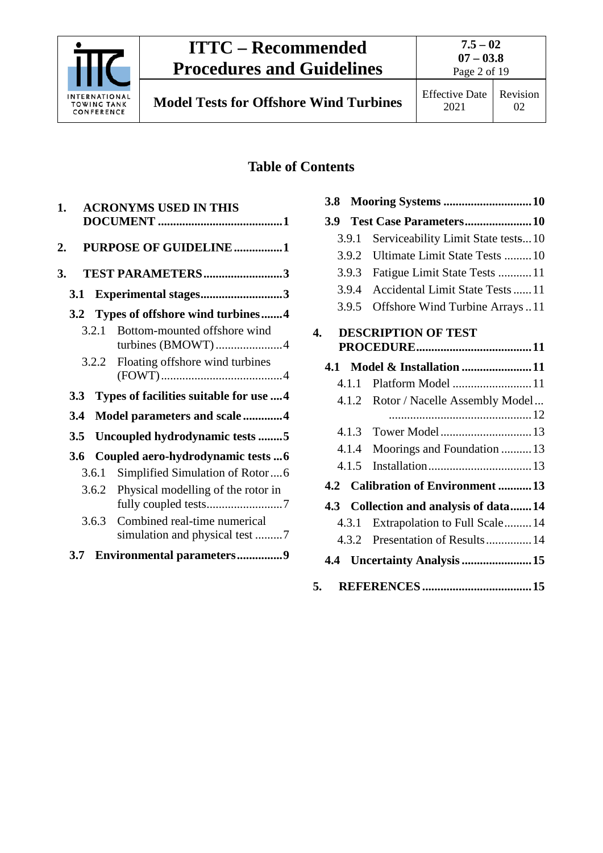

**7.5 – 02 07 – 03.8**

**Model Tests for Offshore Wind Turbines** Effective Date

Page 2 of 19

## **Table of Contents**

| <b>ACRONYMS USED IN THIS</b><br>1.                                      |
|-------------------------------------------------------------------------|
| PURPOSE OF GUIDELINE1<br>2.                                             |
| TEST PARAMETERS3<br>3.                                                  |
| Experimental stages3<br>3.1                                             |
| Types of offshore wind turbines4<br>3.2                                 |
| Bottom-mounted offshore wind<br>3.2.1<br>turbines (BMOWT)4              |
| Floating offshore wind turbines<br>3.2.2                                |
| Types of facilities suitable for use  4<br>3.3                          |
| Model parameters and scale 4<br>3.4                                     |
| Uncoupled hydrodynamic tests 5<br>3.5                                   |
| Coupled aero-hydrodynamic tests  6<br>3.6                               |
| Simplified Simulation of Rotor6<br>3.6.1                                |
| Physical modelling of the rotor in<br>3.6.2                             |
| Combined real-time numerical<br>3.6.3<br>simulation and physical test 7 |
| <b>Environmental parameters9</b><br>3.7                                 |

| 3.8 |       | Mooring Systems 10                     |  |
|-----|-------|----------------------------------------|--|
| 3.9 |       | Test Case Parameters10                 |  |
|     | 3.9.1 | Serviceability Limit State tests10     |  |
|     | 3.9.2 | Ultimate Limit State Tests  10         |  |
|     | 3.9.3 | Fatigue Limit State Tests 11           |  |
|     | 3.9.4 | <b>Accidental Limit State Tests 11</b> |  |
|     | 3.9.5 | Offshore Wind Turbine Arrays11         |  |
| 4.  |       | <b>DESCRIPTION OF TEST</b>             |  |
|     |       |                                        |  |
|     |       | 4.1 Model & Installation 11            |  |
|     | 4.1.1 | Platform Model 11                      |  |
|     | 4.1.2 | Rotor / Nacelle Assembly Model         |  |
|     |       |                                        |  |
|     | 4.1.3 | Tower Model  13                        |  |
|     | 4.1.4 | Moorings and Foundation  13            |  |
|     | 4.1.5 |                                        |  |
|     |       | 4.2 Calibration of Environment 13      |  |
|     |       | 4.3 Collection and analysis of data14  |  |
|     | 4.3.1 | Extrapolation to Full Scale14          |  |
|     | 4.3.2 | Presentation of Results 14             |  |
|     |       | 4.4 Uncertainty Analysis 15            |  |
| 5.  |       |                                        |  |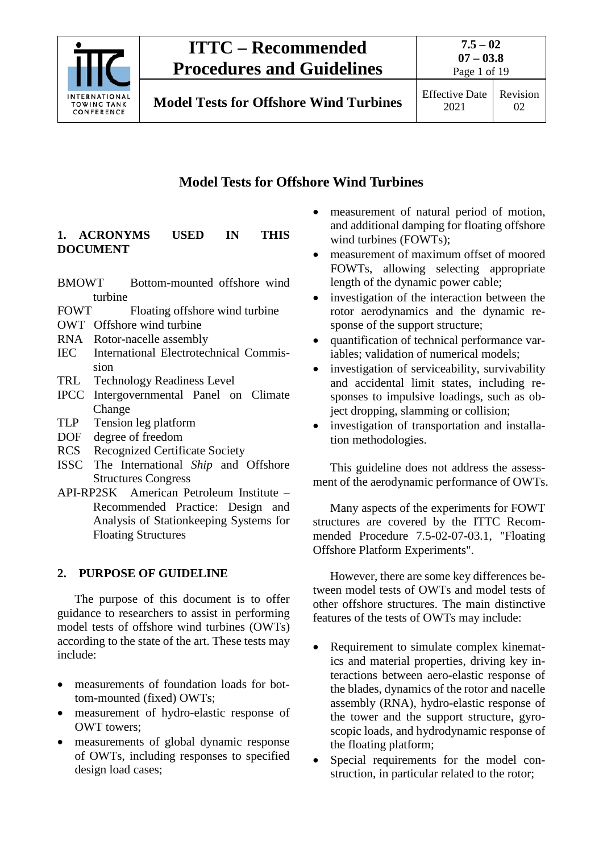

2021

## **Model Tests for Offshore Wind Turbines**

## <span id="page-2-0"></span>**1. ACRONYMS USED IN THIS DOCUMENT**

- BMOWT Bottom-mounted offshore wind turbine
- FOWT Floating offshore wind turbine
- OWT Offshore wind turbine
- RNA Rotor-nacelle assembly
- IEC International Electrotechnical Commission
- TRL Technology Readiness Level
- IPCC Intergovernmental Panel on Climate Change
- TLP Tension leg platform
- DOF degree of freedom
- RCS Recognized Certificate Society
- ISSC The International *Ship* and Offshore Structures Congress
- API-RP2SK American Petroleum Institute Recommended Practice: Design and Analysis of Stationkeeping Systems for Floating Structures

## <span id="page-2-1"></span>**2. PURPOSE OF GUIDELINE**

The purpose of this document is to offer guidance to researchers to assist in performing model tests of offshore wind turbines (OWTs) according to the state of the art. These tests may include:

- measurements of foundation loads for bottom-mounted (fixed) OWTs;
- measurement of hydro-elastic response of OWT towers;
- measurements of global dynamic response of OWTs, including responses to specified design load cases;
- measurement of natural period of motion, and additional damping for floating offshore wind turbines (FOWTs);
- measurement of maximum offset of moored FOWTs, allowing selecting appropriate length of the dynamic power cable;
- investigation of the interaction between the rotor aerodynamics and the dynamic response of the support structure;
- quantification of technical performance variables; validation of numerical models;
- investigation of serviceability, survivability and accidental limit states, including responses to impulsive loadings, such as object dropping, slamming or collision;
- investigation of transportation and installation methodologies.

This guideline does not address the assessment of the aerodynamic performance of OWTs.

Many aspects of the experiments for FOWT structures are covered by the ITTC Recommended Procedure 7.5-02-07-03.1, "Floating Offshore Platform Experiments".

However, there are some key differences between model tests of OWTs and model tests of other offshore structures. The main distinctive features of the tests of OWTs may include:

- Requirement to simulate complex kinematics and material properties, driving key interactions between aero-elastic response of the blades, dynamics of the rotor and nacelle assembly (RNA), hydro-elastic response of the tower and the support structure, gyroscopic loads, and hydrodynamic response of the floating platform;
- Special requirements for the model construction, in particular related to the rotor;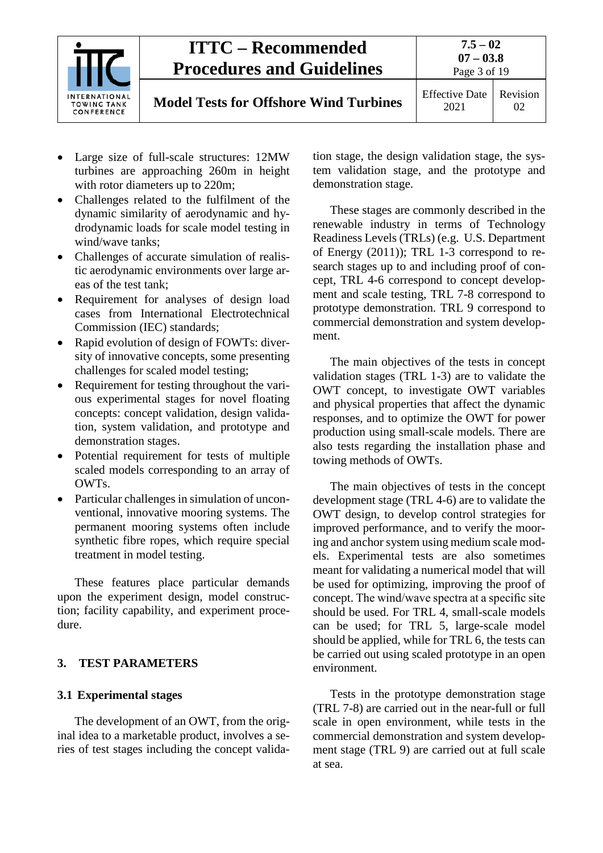

**Model Tests for Offshore Wind Turbines** 

Page 3 of 19

- Large size of full-scale structures: 12MW turbines are approaching 260m in height with rotor diameters up to 220m;
- Challenges related to the fulfilment of the dynamic similarity of aerodynamic and hydrodynamic loads for scale model testing in wind/wave tanks;
- Challenges of accurate simulation of realistic aerodynamic environments over large areas of the test tank;
- Requirement for analyses of design load cases from International Electrotechnical Commission (IEC) standards;
- Rapid evolution of design of FOWTs: diversity of innovative concepts, some presenting challenges for scaled model testing;
- Requirement for testing throughout the various experimental stages for novel floating concepts: concept validation, design validation, system validation, and prototype and demonstration stages.
- Potential requirement for tests of multiple scaled models corresponding to an array of OWTs.
- Particular challenges in simulation of unconventional, innovative mooring systems. The permanent mooring systems often include synthetic fibre ropes, which require special treatment in model testing.

These features place particular demands upon the experiment design, model construction; facility capability, and experiment procedure.

## <span id="page-3-1"></span><span id="page-3-0"></span>**3. TEST PARAMETERS**

## **3.1 Experimental stages**

The development of an OWT, from the original idea to a marketable product, involves a series of test stages including the concept validation stage, the design validation stage, the system validation stage, and the prototype and demonstration stage.

These stages are commonly described in the renewable industry in terms of Technology Readiness Levels (TRLs) (e.g. U.S. Department of Energy (2011)); TRL 1-3 correspond to research stages up to and including proof of concept, TRL 4-6 correspond to concept development and scale testing, TRL 7-8 correspond to prototype demonstration. TRL 9 correspond to commercial demonstration and system development.

The main objectives of the tests in concept validation stages (TRL 1-3) are to validate the OWT concept, to investigate OWT variables and physical properties that affect the dynamic responses, and to optimize the OWT for power production using small-scale models. There are also tests regarding the installation phase and towing methods of OWTs.

The main objectives of tests in the concept development stage (TRL 4-6) are to validate the OWT design, to develop control strategies for improved performance, and to verify the mooring and anchor system using medium scale models. Experimental tests are also sometimes meant for validating a numerical model that will be used for optimizing, improving the proof of concept. The wind/wave spectra at a specific site should be used. For TRL 4, small-scale models can be used; for TRL 5, large-scale model should be applied, while for TRL 6, the tests can be carried out using scaled prototype in an open environment.

Tests in the prototype demonstration stage (TRL 7-8) are carried out in the near-full or full scale in open environment, while tests in the commercial demonstration and system development stage (TRL 9) are carried out at full scale at sea.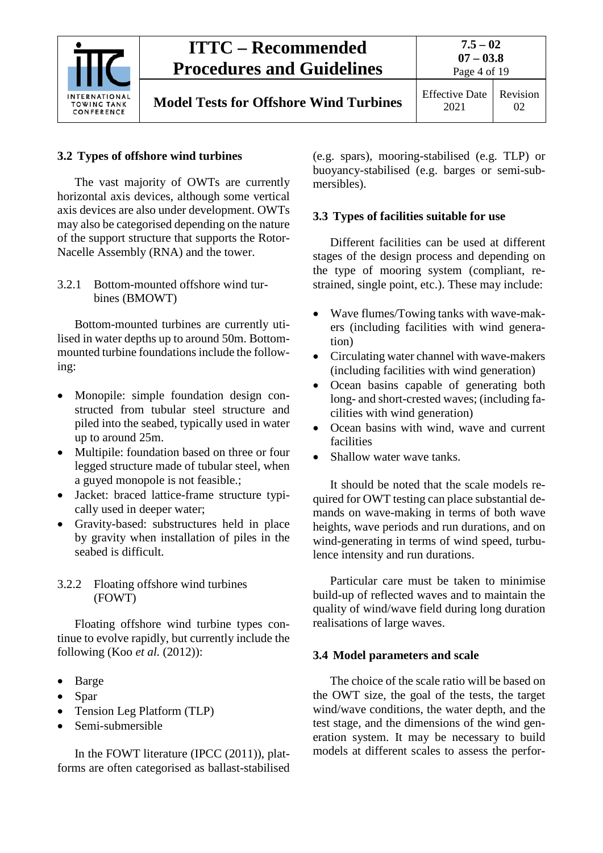

## <span id="page-4-0"></span>**3.2 Types of offshore wind turbines**

The vast majority of OWTs are currently horizontal axis devices, although some vertical axis devices are also under development. OWTs may also be categorised depending on the nature of the support structure that supports the Rotor-Nacelle Assembly (RNA) and the tower.

<span id="page-4-1"></span>3.2.1 Bottom-mounted offshore wind turbines (BMOWT)

Bottom-mounted turbines are currently utilised in water depths up to around 50m. Bottommounted turbine foundations include the following:

- Monopile: simple foundation design constructed from tubular steel structure and piled into the seabed, typically used in water up to around 25m.
- Multipile: foundation based on three or four legged structure made of tubular steel, when a guyed monopole is not feasible.;
- Jacket: braced lattice-frame structure typically used in deeper water;
- Gravity-based: substructures held in place by gravity when installation of piles in the seabed is difficult.

## <span id="page-4-2"></span>3.2.2 Floating offshore wind turbines (FOWT)

Floating offshore wind turbine types continue to evolve rapidly, but currently include the following (Koo *et al.* (2012)):

- Barge
- Spar
- Tension Leg Platform (TLP)
- Semi-submersible

In the FOWT literature (IPCC (2011)), platforms are often categorised as ballast-stabilised (e.g. spars), mooring-stabilised (e.g. TLP) or buoyancy-stabilised (e.g. barges or semi-submersibles).

## <span id="page-4-3"></span>**3.3 Types of facilities suitable for use**

Different facilities can be used at different stages of the design process and depending on the type of mooring system (compliant, restrained, single point, etc.). These may include:

- Wave flumes/Towing tanks with wave-makers (including facilities with wind generation)
- Circulating water channel with wave-makers (including facilities with wind generation)
- Ocean basins capable of generating both long- and short-crested waves; (including facilities with wind generation)
- Ocean basins with wind, wave and current facilities
- Shallow water wave tanks.

It should be noted that the scale models required for OWT testing can place substantial demands on wave-making in terms of both wave heights, wave periods and run durations, and on wind-generating in terms of wind speed, turbulence intensity and run durations.

Particular care must be taken to minimise build-up of reflected waves and to maintain the quality of wind/wave field during long duration realisations of large waves.

## <span id="page-4-4"></span>**3.4 Model parameters and scale**

The choice of the scale ratio will be based on the OWT size, the goal of the tests, the target wind/wave conditions, the water depth, and the test stage, and the dimensions of the wind generation system. It may be necessary to build models at different scales to assess the perfor-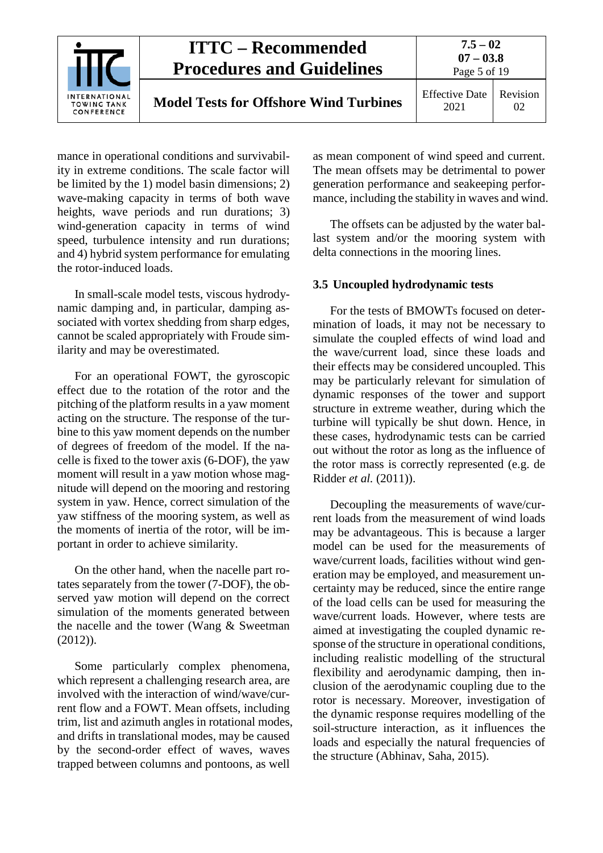

mance in operational conditions and survivability in extreme conditions. The scale factor will be limited by the 1) model basin dimensions; 2) wave-making capacity in terms of both wave heights, wave periods and run durations; 3) wind-generation capacity in terms of wind speed, turbulence intensity and run durations; and 4) hybrid system performance for emulating the rotor-induced loads.

In small-scale model tests, viscous hydrodynamic damping and, in particular, damping associated with vortex shedding from sharp edges, cannot be scaled appropriately with Froude similarity and may be overestimated.

For an operational FOWT, the gyroscopic effect due to the rotation of the rotor and the pitching of the platform results in a yaw moment acting on the structure. The response of the turbine to this yaw moment depends on the number of degrees of freedom of the model. If the nacelle is fixed to the tower axis (6-DOF), the yaw moment will result in a yaw motion whose magnitude will depend on the mooring and restoring system in yaw. Hence, correct simulation of the yaw stiffness of the mooring system, as well as the moments of inertia of the rotor, will be important in order to achieve similarity.

On the other hand, when the nacelle part rotates separately from the tower (7-DOF), the observed yaw motion will depend on the correct simulation of the moments generated between the nacelle and the tower (Wang & Sweetman (2012)).

Some particularly complex phenomena, which represent a challenging research area, are involved with the interaction of wind/wave/current flow and a FOWT. Mean offsets, including trim, list and azimuth angles in rotational modes, and drifts in translational modes, may be caused by the second-order effect of waves, waves trapped between columns and pontoons, as well

as mean component of wind speed and current. The mean offsets may be detrimental to power generation performance and seakeeping performance, including the stability in waves and wind.

The offsets can be adjusted by the water ballast system and/or the mooring system with delta connections in the mooring lines.

#### <span id="page-5-0"></span>**3.5 Uncoupled hydrodynamic tests**

For the tests of BMOWTs focused on determination of loads, it may not be necessary to simulate the coupled effects of wind load and the wave/current load, since these loads and their effects may be considered uncoupled. This may be particularly relevant for simulation of dynamic responses of the tower and support structure in extreme weather, during which the turbine will typically be shut down. Hence, in these cases, hydrodynamic tests can be carried out without the rotor as long as the influence of the rotor mass is correctly represented (e.g. de Ridder *et al.* (2011)).

Decoupling the measurements of wave/current loads from the measurement of wind loads may be advantageous. This is because a larger model can be used for the measurements of wave/current loads, facilities without wind generation may be employed, and measurement uncertainty may be reduced, since the entire range of the load cells can be used for measuring the wave/current loads. However, where tests are aimed at investigating the coupled dynamic response of the structure in operational conditions, including realistic modelling of the structural flexibility and aerodynamic damping, then inclusion of the aerodynamic coupling due to the rotor is necessary. Moreover, investigation of the dynamic response requires modelling of the soil-structure interaction, as it influences the loads and especially the natural frequencies of the structure (Abhinav, Saha, 2015).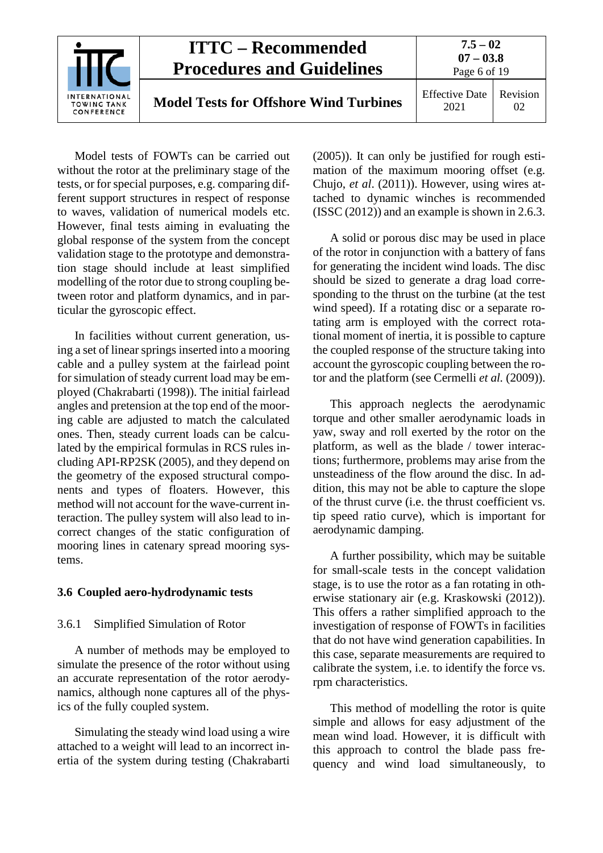

Model tests of FOWTs can be carried out without the rotor at the preliminary stage of the tests, or for special purposes, e.g. comparing different support structures in respect of response to waves, validation of numerical models etc. However, final tests aiming in evaluating the global response of the system from the concept validation stage to the prototype and demonstration stage should include at least simplified modelling of the rotor due to strong coupling between rotor and platform dynamics, and in particular the gyroscopic effect.

In facilities without current generation, using a set of linear springs inserted into a mooring cable and a pulley system at the fairlead point for simulation of steady current load may be employed (Chakrabarti (1998)). The initial fairlead angles and pretension at the top end of the mooring cable are adjusted to match the calculated ones. Then, steady current loads can be calculated by the empirical formulas in RCS rules including API-RP2SK (2005), and they depend on the geometry of the exposed structural components and types of floaters. However, this method will not account for the wave-current interaction. The pulley system will also lead to incorrect changes of the static configuration of mooring lines in catenary spread mooring systems.

#### <span id="page-6-1"></span><span id="page-6-0"></span>**3.6 Coupled aero-hydrodynamic tests**

#### 3.6.1 Simplified Simulation of Rotor

A number of methods may be employed to simulate the presence of the rotor without using an accurate representation of the rotor aerodynamics, although none captures all of the physics of the fully coupled system.

Simulating the steady wind load using a wire attached to a weight will lead to an incorrect inertia of the system during testing (Chakrabarti

(2005)). It can only be justified for rough estimation of the maximum mooring offset (e.g. Chujo, *et al*. (2011)). However, using wires attached to dynamic winches is recommended (ISSC (2012)) and an example is shown in 2.6.3.

A solid or porous disc may be used in place of the rotor in conjunction with a battery of fans for generating the incident wind loads. The disc should be sized to generate a drag load corresponding to the thrust on the turbine (at the test wind speed). If a rotating disc or a separate rotating arm is employed with the correct rotational moment of inertia, it is possible to capture the coupled response of the structure taking into account the gyroscopic coupling between the rotor and the platform (see Cermelli *et al.* (2009)).

This approach neglects the aerodynamic torque and other smaller aerodynamic loads in yaw, sway and roll exerted by the rotor on the platform, as well as the blade / tower interactions; furthermore, problems may arise from the unsteadiness of the flow around the disc. In addition, this may not be able to capture the slope of the thrust curve (i.e. the thrust coefficient vs. tip speed ratio curve), which is important for aerodynamic damping.

A further possibility, which may be suitable for small-scale tests in the concept validation stage, is to use the rotor as a fan rotating in otherwise stationary air (e.g. Kraskowski (2012)). This offers a rather simplified approach to the investigation of response of FOWTs in facilities that do not have wind generation capabilities. In this case, separate measurements are required to calibrate the system, i.e. to identify the force vs. rpm characteristics.

This method of modelling the rotor is quite simple and allows for easy adjustment of the mean wind load. However, it is difficult with this approach to control the blade pass frequency and wind load simultaneously, to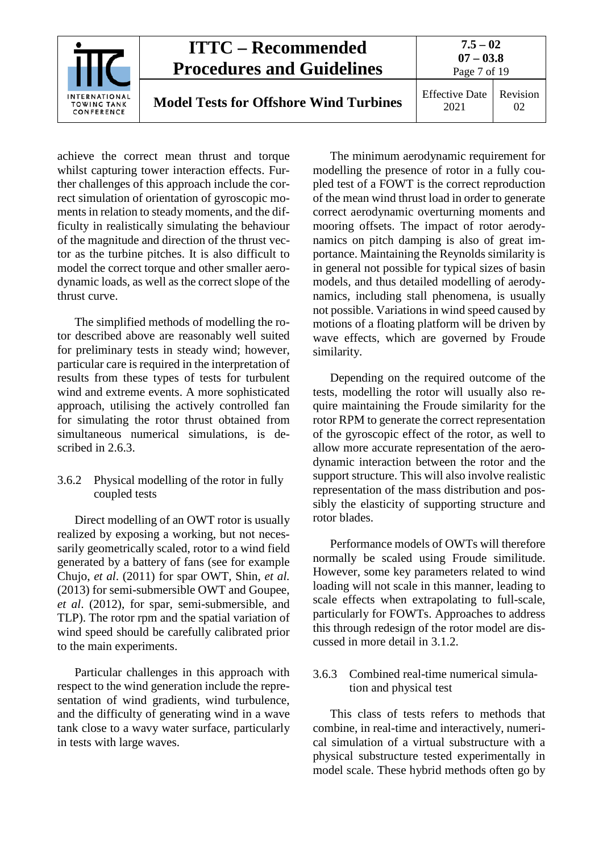

achieve the correct mean thrust and torque whilst capturing tower interaction effects. Further challenges of this approach include the correct simulation of orientation of gyroscopic moments in relation to steady moments, and the difficulty in realistically simulating the behaviour of the magnitude and direction of the thrust vector as the turbine pitches. It is also difficult to model the correct torque and other smaller aerodynamic loads, as well as the correct slope of the thrust curve.

The simplified methods of modelling the rotor described above are reasonably well suited for preliminary tests in steady wind; however, particular care is required in the interpretation of results from these types of tests for turbulent wind and extreme events. A more sophisticated approach, utilising the actively controlled fan for simulating the rotor thrust obtained from simultaneous numerical simulations, is described in 2.6.3.

#### <span id="page-7-0"></span>3.6.2 Physical modelling of the rotor in fully coupled tests

Direct modelling of an OWT rotor is usually realized by exposing a working, but not necessarily geometrically scaled, rotor to a wind field generated by a battery of fans (see for example Chujo, *et al*. (2011) for spar OWT, Shin, *et al.* (2013) for semi-submersible OWT and Goupee, *et al*. (2012), for spar, semi-submersible, and TLP). The rotor rpm and the spatial variation of wind speed should be carefully calibrated prior to the main experiments.

Particular challenges in this approach with respect to the wind generation include the representation of wind gradients, wind turbulence, and the difficulty of generating wind in a wave tank close to a wavy water surface, particularly in tests with large waves.

The minimum aerodynamic requirement for modelling the presence of rotor in a fully coupled test of a FOWT is the correct reproduction of the mean wind thrust load in order to generate correct aerodynamic overturning moments and mooring offsets. The impact of rotor aerodynamics on pitch damping is also of great importance. Maintaining the Reynolds similarity is in general not possible for typical sizes of basin models, and thus detailed modelling of aerodynamics, including stall phenomena, is usually not possible. Variations in wind speed caused by motions of a floating platform will be driven by wave effects, which are governed by Froude similarity.

Depending on the required outcome of the tests, modelling the rotor will usually also require maintaining the Froude similarity for the rotor RPM to generate the correct representation of the gyroscopic effect of the rotor, as well to allow more accurate representation of the aerodynamic interaction between the rotor and the support structure. This will also involve realistic representation of the mass distribution and possibly the elasticity of supporting structure and rotor blades.

Performance models of OWTs will therefore normally be scaled using Froude similitude. However, some key parameters related to wind loading will not scale in this manner, leading to scale effects when extrapolating to full-scale, particularly for FOWTs. Approaches to address this through redesign of the rotor model are discussed in more detail in [3.1.2.](#page-12-0)

#### <span id="page-7-1"></span>3.6.3 Combined real-time numerical simulation and physical test

This class of tests refers to methods that combine, in real-time and interactively, numerical simulation of a virtual substructure with a physical substructure tested experimentally in model scale. These hybrid methods often go by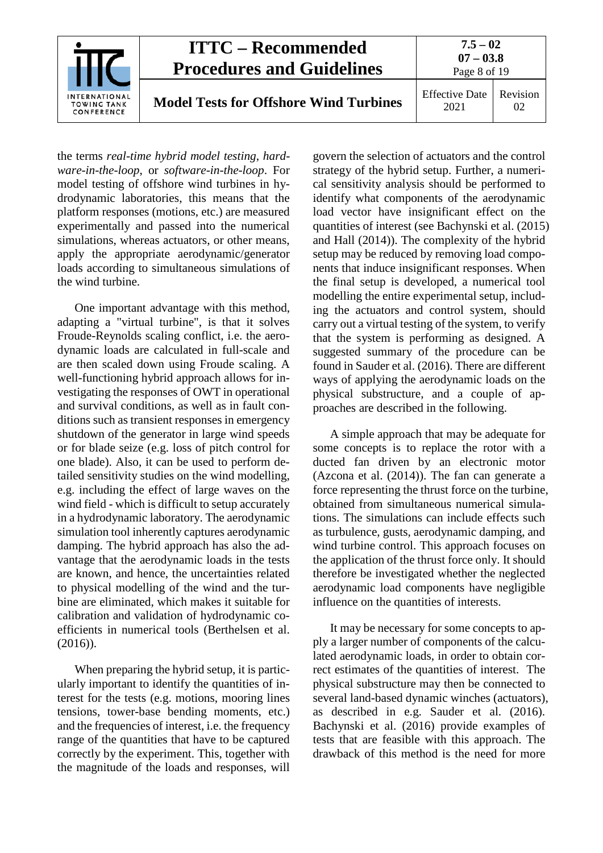

the terms *real-time hybrid model testing*, *hardware-in-the-loop*, or *software-in-the-loop*. For model testing of offshore wind turbines in hydrodynamic laboratories, this means that the platform responses (motions, etc.) are measured experimentally and passed into the numerical simulations, whereas actuators, or other means, apply the appropriate aerodynamic/generator loads according to simultaneous simulations of the wind turbine.

One important advantage with this method, adapting a "virtual turbine", is that it solves Froude-Reynolds scaling conflict, i.e. the aerodynamic loads are calculated in full-scale and are then scaled down using Froude scaling. A well-functioning hybrid approach allows for investigating the responses of OWT in operational and survival conditions, as well as in fault conditions such as transient responses in emergency shutdown of the generator in large wind speeds or for blade seize (e.g. loss of pitch control for one blade). Also, it can be used to perform detailed sensitivity studies on the wind modelling, e.g. including the effect of large waves on the wind field - which is difficult to setup accurately in a hydrodynamic laboratory. The aerodynamic simulation tool inherently captures aerodynamic damping. The hybrid approach has also the advantage that the aerodynamic loads in the tests are known, and hence, the uncertainties related to physical modelling of the wind and the turbine are eliminated, which makes it suitable for calibration and validation of hydrodynamic coefficients in numerical tools (Berthelsen et al. (2016)).

When preparing the hybrid setup, it is particularly important to identify the quantities of interest for the tests (e.g. motions, mooring lines tensions, tower-base bending moments, etc.) and the frequencies of interest, i.e. the frequency range of the quantities that have to be captured correctly by the experiment. This, together with the magnitude of the loads and responses, will

govern the selection of actuators and the control strategy of the hybrid setup. Further, a numerical sensitivity analysis should be performed to identify what components of the aerodynamic load vector have insignificant effect on the quantities of interest (see Bachynski et al. (2015) and Hall (2014)). The complexity of the hybrid setup may be reduced by removing load components that induce insignificant responses. When the final setup is developed, a numerical tool modelling the entire experimental setup, including the actuators and control system, should carry out a virtual testing of the system, to verify that the system is performing as designed. A suggested summary of the procedure can be found in Sauder et al. (2016). There are different ways of applying the aerodynamic loads on the physical substructure, and a couple of approaches are described in the following.

A simple approach that may be adequate for some concepts is to replace the rotor with a ducted fan driven by an electronic motor (Azcona et al. (2014)). The fan can generate a force representing the thrust force on the turbine, obtained from simultaneous numerical simulations. The simulations can include effects such as turbulence, gusts, aerodynamic damping, and wind turbine control. This approach focuses on the application of the thrust force only. It should therefore be investigated whether the neglected aerodynamic load components have negligible influence on the quantities of interests.

It may be necessary for some concepts to apply a larger number of components of the calculated aerodynamic loads, in order to obtain correct estimates of the quantities of interest. The physical substructure may then be connected to several land-based dynamic winches (actuators), as described in e.g. Sauder et al. (2016). Bachynski et al. (2016) provide examples of tests that are feasible with this approach. The drawback of this method is the need for more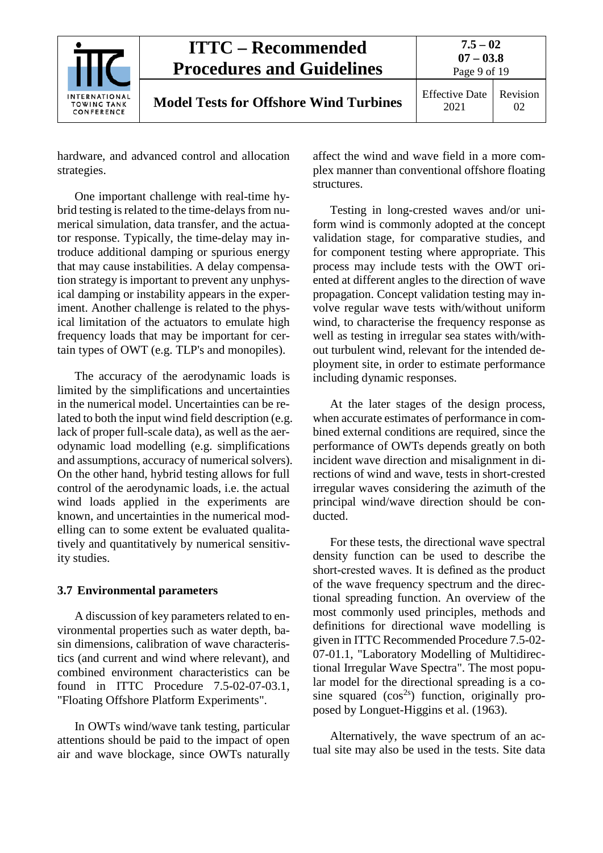

hardware, and advanced control and allocation strategies.

One important challenge with real-time hybrid testing is related to the time-delays from numerical simulation, data transfer, and the actuator response. Typically, the time-delay may introduce additional damping or spurious energy that may cause instabilities. A delay compensation strategy is important to prevent any unphysical damping or instability appears in the experiment. Another challenge is related to the physical limitation of the actuators to emulate high frequency loads that may be important for certain types of OWT (e.g. TLP's and monopiles).

The accuracy of the aerodynamic loads is limited by the simplifications and uncertainties in the numerical model. Uncertainties can be related to both the input wind field description (e.g. lack of proper full-scale data), as well as the aerodynamic load modelling (e.g. simplifications and assumptions, accuracy of numerical solvers). On the other hand, hybrid testing allows for full control of the aerodynamic loads, i.e. the actual wind loads applied in the experiments are known, and uncertainties in the numerical modelling can to some extent be evaluated qualitatively and quantitatively by numerical sensitivity studies.

#### <span id="page-9-0"></span>**3.7 Environmental parameters**

A discussion of key parameters related to environmental properties such as water depth, basin dimensions, calibration of wave characteristics (and current and wind where relevant), and combined environment characteristics can be found in ITTC Procedure 7.5-02-07-03.1, "Floating Offshore Platform Experiments".

In OWTs wind/wave tank testing, particular attentions should be paid to the impact of open air and wave blockage, since OWTs naturally

affect the wind and wave field in a more complex manner than conventional offshore floating structures.

Testing in long-crested waves and/or uniform wind is commonly adopted at the concept validation stage, for comparative studies, and for component testing where appropriate. This process may include tests with the OWT oriented at different angles to the direction of wave propagation. Concept validation testing may involve regular wave tests with/without uniform wind, to characterise the frequency response as well as testing in irregular sea states with/without turbulent wind, relevant for the intended deployment site, in order to estimate performance including dynamic responses.

At the later stages of the design process, when accurate estimates of performance in combined external conditions are required, since the performance of OWTs depends greatly on both incident wave direction and misalignment in directions of wind and wave, tests in short-crested irregular waves considering the azimuth of the principal wind/wave direction should be conducted.

For these tests, the directional wave spectral density function can be used to describe the short-crested waves. It is defined as the product of the wave frequency spectrum and the directional spreading function. An overview of the most commonly used principles, methods and definitions for directional wave modelling is given in ITTC Recommended Procedure 7.5-02- 07-01.1, "Laboratory Modelling of Multidirectional Irregular Wave Spectra". The most popular model for the directional spreading is a cosine squared  $(cos<sup>2s</sup>)$  function, originally proposed by Longuet-Higgins et al. (1963).

Alternatively, the wave spectrum of an actual site may also be used in the tests. Site data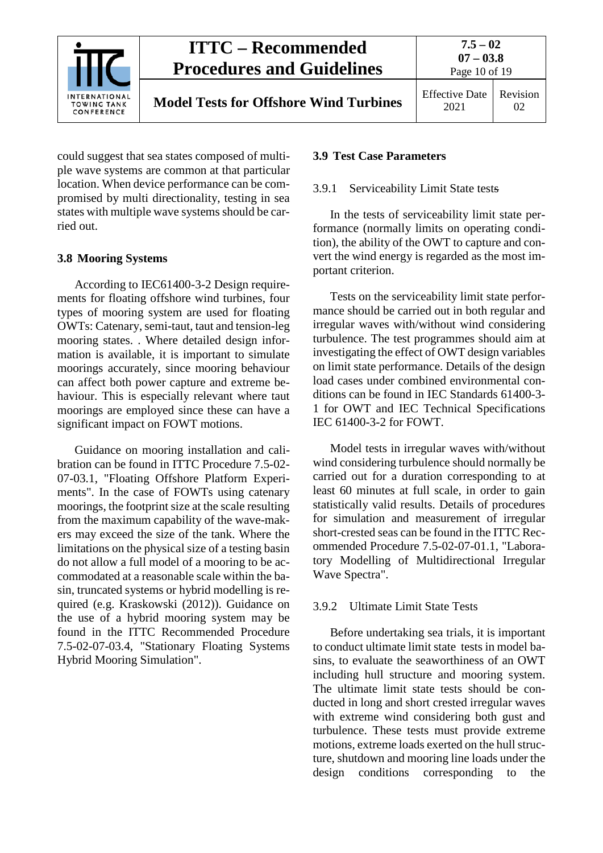

could suggest that sea states composed of multiple wave systems are common at that particular location. When device performance can be compromised by multi directionality, testing in sea states with multiple wave systems should be carried out.

## <span id="page-10-0"></span>**3.8 Mooring Systems**

According to IEC61400-3-2 Design requirements for floating offshore wind turbines, four types of mooring system are used for floating OWTs: Catenary, semi-taut, taut and tension-leg mooring states. . Where detailed design information is available, it is important to simulate moorings accurately, since mooring behaviour can affect both power capture and extreme behaviour. This is especially relevant where taut moorings are employed since these can have a significant impact on FOWT motions.

Guidance on mooring installation and calibration can be found in ITTC Procedure 7.5-02- 07-03.1, "Floating Offshore Platform Experiments". In the case of FOWTs using catenary moorings, the footprint size at the scale resulting from the maximum capability of the wave-makers may exceed the size of the tank. Where the limitations on the physical size of a testing basin do not allow a full model of a mooring to be accommodated at a reasonable scale within the basin, truncated systems or hybrid modelling is required (e.g. Kraskowski (2012)). Guidance on the use of a hybrid mooring system may be found in the ITTC Recommended Procedure 7.5-02-07-03.4, "Stationary Floating Systems Hybrid Mooring Simulation".

## <span id="page-10-2"></span><span id="page-10-1"></span>**3.9 Test Case Parameters**

## 3.9.1 Serviceability Limit State tests

In the tests of serviceability limit state performance (normally limits on operating condition), the ability of the OWT to capture and convert the wind energy is regarded as the most important criterion.

Tests on the serviceability limit state performance should be carried out in both regular and irregular waves with/without wind considering turbulence. The test programmes should aim at investigating the effect of OWT design variables on limit state performance. Details of the design load cases under combined environmental conditions can be found in IEC Standards 61400-3- 1 for OWT and IEC Technical Specifications IEC 61400-3-2 for FOWT.

Model tests in irregular waves with/without wind considering turbulence should normally be carried out for a duration corresponding to at least 60 minutes at full scale, in order to gain statistically valid results. Details of procedures for simulation and measurement of irregular short-crested seas can be found in the ITTC Recommended Procedure 7.5-02-07-01.1, "Laboratory Modelling of Multidirectional Irregular Wave Spectra".

## <span id="page-10-3"></span>3.9.2 Ultimate Limit State Tests

Before undertaking sea trials, it is important to conduct ultimate limit state tests in model basins, to evaluate the seaworthiness of an OWT including hull structure and mooring system. The ultimate limit state tests should be conducted in long and short crested irregular waves with extreme wind considering both gust and turbulence. These tests must provide extreme motions, extreme loads exerted on the hull structure, shutdown and mooring line loads under the design conditions corresponding to the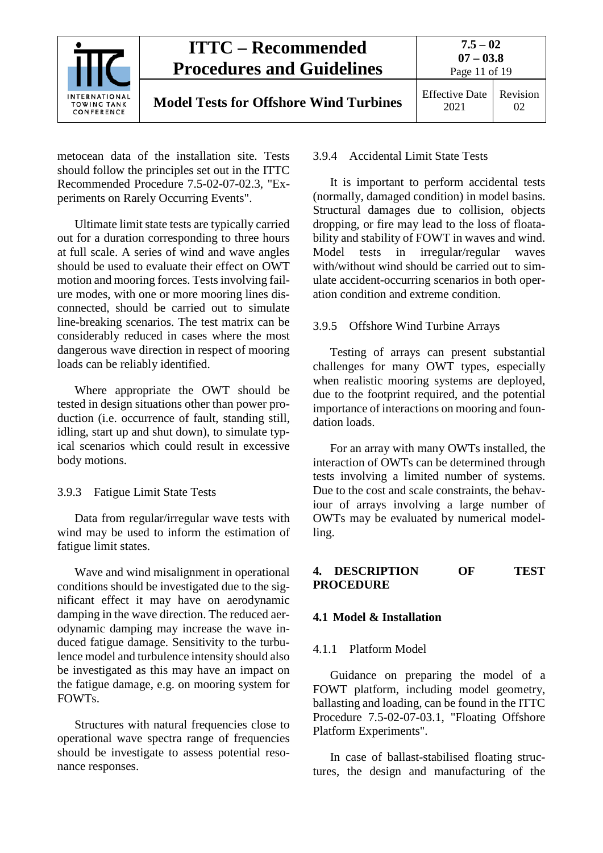

metocean data of the installation site. Tests should follow the principles set out in the ITTC Recommended Procedure 7.5-02-07-02.3, "Experiments on Rarely Occurring Events".

Ultimate limit state tests are typically carried out for a duration corresponding to three hours at full scale. A series of wind and wave angles should be used to evaluate their effect on OWT motion and mooring forces. Tests involving failure modes, with one or more mooring lines disconnected, should be carried out to simulate line-breaking scenarios. The test matrix can be considerably reduced in cases where the most dangerous wave direction in respect of mooring loads can be reliably identified.

Where appropriate the OWT should be tested in design situations other than power production (i.e. occurrence of fault, standing still, idling, start up and shut down), to simulate typical scenarios which could result in excessive body motions.

<span id="page-11-0"></span>3.9.3 Fatigue Limit State Tests

Data from regular/irregular wave tests with wind may be used to inform the estimation of fatigue limit states.

Wave and wind misalignment in operational conditions should be investigated due to the significant effect it may have on aerodynamic damping in the wave direction. The reduced aerodynamic damping may increase the wave induced fatigue damage. Sensitivity to the turbulence model and turbulence intensity should also be investigated as this may have an impact on the fatigue damage, e.g. on mooring system for FOWTs.

Structures with natural frequencies close to operational wave spectra range of frequencies should be investigate to assess potential resonance responses.

#### <span id="page-11-1"></span>3.9.4 Accidental Limit State Tests

It is important to perform accidental tests (normally, damaged condition) in model basins. Structural damages due to collision, objects dropping, or fire may lead to the loss of floatability and stability of FOWT in waves and wind. Model tests in irregular/regular waves with/without wind should be carried out to simulate accident-occurring scenarios in both operation condition and extreme condition.

#### <span id="page-11-2"></span>3.9.5 Offshore Wind Turbine Arrays

Testing of arrays can present substantial challenges for many OWT types, especially when realistic mooring systems are deployed, due to the footprint required, and the potential importance of interactions on mooring and foundation loads.

For an array with many OWTs installed, the interaction of OWTs can be determined through tests involving a limited number of systems. Due to the cost and scale constraints, the behaviour of arrays involving a large number of OWTs may be evaluated by numerical modelling.

### <span id="page-11-3"></span>**4. DESCRIPTION OF TEST PROCEDURE**

#### <span id="page-11-5"></span><span id="page-11-4"></span>**4.1 Model & Installation**

#### 4.1.1 Platform Model

Guidance on preparing the model of a FOWT platform, including model geometry, ballasting and loading, can be found in the ITTC Procedure 7.5-02-07-03.1, "Floating Offshore Platform Experiments".

In case of ballast-stabilised floating structures, the design and manufacturing of the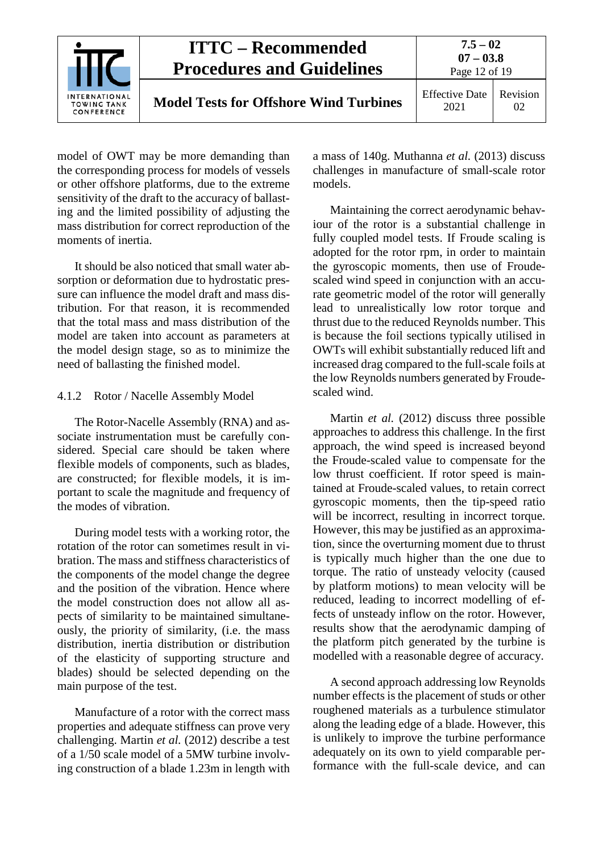

model of OWT may be more demanding than the corresponding process for models of vessels or other offshore platforms, due to the extreme sensitivity of the draft to the accuracy of ballasting and the limited possibility of adjusting the mass distribution for correct reproduction of the moments of inertia.

It should be also noticed that small water absorption or deformation due to hydrostatic pressure can influence the model draft and mass distribution. For that reason, it is recommended that the total mass and mass distribution of the model are taken into account as parameters at the model design stage, so as to minimize the need of ballasting the finished model.

#### <span id="page-12-0"></span>4.1.2 Rotor / Nacelle Assembly Model

The Rotor-Nacelle Assembly (RNA) and associate instrumentation must be carefully considered. Special care should be taken where flexible models of components, such as blades, are constructed; for flexible models, it is important to scale the magnitude and frequency of the modes of vibration.

During model tests with a working rotor, the rotation of the rotor can sometimes result in vibration. The mass and stiffness characteristics of the components of the model change the degree and the position of the vibration. Hence where the model construction does not allow all aspects of similarity to be maintained simultaneously, the priority of similarity, (i.e. the mass distribution, inertia distribution or distribution of the elasticity of supporting structure and blades) should be selected depending on the main purpose of the test.

Manufacture of a rotor with the correct mass properties and adequate stiffness can prove very challenging. Martin *et al.* (2012) describe a test of a 1/50 scale model of a 5MW turbine involving construction of a blade 1.23m in length with a mass of 140g. Muthanna *et al.* (2013) discuss challenges in manufacture of small-scale rotor models.

Maintaining the correct aerodynamic behaviour of the rotor is a substantial challenge in fully coupled model tests. If Froude scaling is adopted for the rotor rpm, in order to maintain the gyroscopic moments, then use of Froudescaled wind speed in conjunction with an accurate geometric model of the rotor will generally lead to unrealistically low rotor torque and thrust due to the reduced Reynolds number. This is because the foil sections typically utilised in OWTs will exhibit substantially reduced lift and increased drag compared to the full-scale foils at the low Reynolds numbers generated by Froudescaled wind.

Martin *et al.* (2012) discuss three possible approaches to address this challenge. In the first approach, the wind speed is increased beyond the Froude-scaled value to compensate for the low thrust coefficient. If rotor speed is maintained at Froude-scaled values, to retain correct gyroscopic moments, then the tip-speed ratio will be incorrect, resulting in incorrect torque. However, this may be justified as an approximation, since the overturning moment due to thrust is typically much higher than the one due to torque. The ratio of unsteady velocity (caused by platform motions) to mean velocity will be reduced, leading to incorrect modelling of effects of unsteady inflow on the rotor. However, results show that the aerodynamic damping of the platform pitch generated by the turbine is modelled with a reasonable degree of accuracy.

A second approach addressing low Reynolds number effects is the placement of studs or other roughened materials as a turbulence stimulator along the leading edge of a blade. However, this is unlikely to improve the turbine performance adequately on its own to yield comparable performance with the full-scale device, and can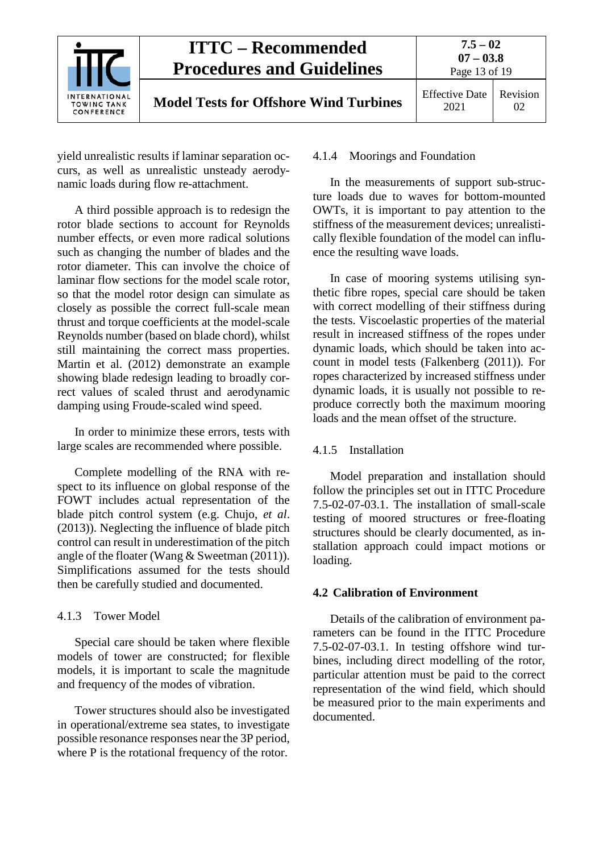

yield unrealistic results if laminar separation occurs, as well as unrealistic unsteady aerodynamic loads during flow re-attachment.

A third possible approach is to redesign the rotor blade sections to account for Reynolds number effects, or even more radical solutions such as changing the number of blades and the rotor diameter. This can involve the choice of laminar flow sections for the model scale rotor, so that the model rotor design can simulate as closely as possible the correct full-scale mean thrust and torque coefficients at the model-scale Reynolds number (based on blade chord), whilst still maintaining the correct mass properties. Martin et al. (2012) demonstrate an example showing blade redesign leading to broadly correct values of scaled thrust and aerodynamic damping using Froude-scaled wind speed.

In order to minimize these errors, tests with large scales are recommended where possible.

Complete modelling of the RNA with respect to its influence on global response of the FOWT includes actual representation of the blade pitch control system (e.g. Chujo, *et al*. (2013)). Neglecting the influence of blade pitch control can result in underestimation of the pitch angle of the floater (Wang & Sweetman (2011)). Simplifications assumed for the tests should then be carefully studied and documented.

#### <span id="page-13-0"></span>4.1.3 Tower Model

Special care should be taken where flexible models of tower are constructed; for flexible models, it is important to scale the magnitude and frequency of the modes of vibration.

Tower structures should also be investigated in operational/extreme sea states, to investigate possible resonance responses near the 3P period, where P is the rotational frequency of the rotor.

#### <span id="page-13-1"></span>4.1.4 Moorings and Foundation

In the measurements of support sub-structure loads due to waves for bottom-mounted OWTs, it is important to pay attention to the stiffness of the measurement devices; unrealistically flexible foundation of the model can influence the resulting wave loads.

In case of mooring systems utilising synthetic fibre ropes, special care should be taken with correct modelling of their stiffness during the tests. Viscoelastic properties of the material result in increased stiffness of the ropes under dynamic loads, which should be taken into account in model tests (Falkenberg (2011)). For ropes characterized by increased stiffness under dynamic loads, it is usually not possible to reproduce correctly both the maximum mooring loads and the mean offset of the structure.

#### <span id="page-13-2"></span>4.1.5 Installation

Model preparation and installation should follow the principles set out in ITTC Procedure 7.5-02-07-03.1. The installation of small-scale testing of moored structures or free-floating structures should be clearly documented, as installation approach could impact motions or loading.

## <span id="page-13-3"></span>**4.2 Calibration of Environment**

Details of the calibration of environment parameters can be found in the ITTC Procedure 7.5-02-07-03.1. In testing offshore wind turbines, including direct modelling of the rotor, particular attention must be paid to the correct representation of the wind field, which should be measured prior to the main experiments and documented.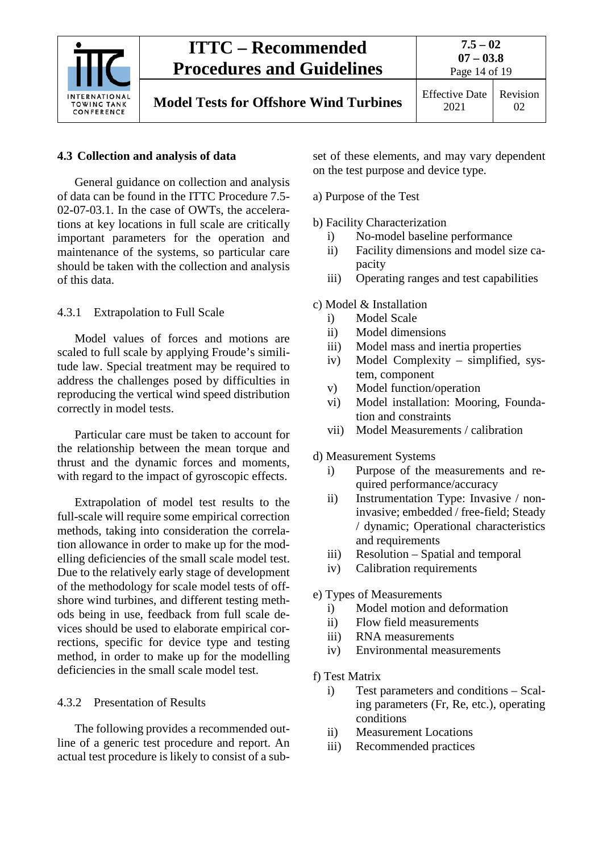

## <span id="page-14-0"></span>**4.3 Collection and analysis of data**

General guidance on collection and analysis of data can be found in the ITTC Procedure 7.5- 02-07-03.1. In the case of OWTs, the accelerations at key locations in full scale are critically important parameters for the operation and maintenance of the systems, so particular care should be taken with the collection and analysis of this data.

<span id="page-14-1"></span>4.3.1 Extrapolation to Full Scale

Model values of forces and motions are scaled to full scale by applying Froude's similitude law. Special treatment may be required to address the challenges posed by difficulties in reproducing the vertical wind speed distribution correctly in model tests.

Particular care must be taken to account for the relationship between the mean torque and thrust and the dynamic forces and moments, with regard to the impact of gyroscopic effects.

Extrapolation of model test results to the full-scale will require some empirical correction methods, taking into consideration the correlation allowance in order to make up for the modelling deficiencies of the small scale model test. Due to the relatively early stage of development of the methodology for scale model tests of offshore wind turbines, and different testing methods being in use, feedback from full scale devices should be used to elaborate empirical corrections, specific for device type and testing method, in order to make up for the modelling deficiencies in the small scale model test.

## <span id="page-14-2"></span>4.3.2 Presentation of Results

The following provides a recommended outline of a generic test procedure and report. An actual test procedure is likely to consist of a subset of these elements, and may vary dependent on the test purpose and device type.

- a) Purpose of the Test
- b) Facility Characterization
	- i) No-model baseline performance
	- ii) Facility dimensions and model size capacity
	- iii) Operating ranges and test capabilities
- c) Model & Installation
	- i) Model Scale
	- ii) Model dimensions
	- iii) Model mass and inertia properties
	- iv) Model Complexity simplified, system, component
	- v) Model function/operation
	- vi) Model installation: Mooring, Foundation and constraints
	- vii) Model Measurements / calibration
- d) Measurement Systems
	- i) Purpose of the measurements and required performance/accuracy
	- ii) Instrumentation Type: Invasive / noninvasive; embedded / free-field; Steady / dynamic; Operational characteristics and requirements
	- iii) Resolution Spatial and temporal
	- iv) Calibration requirements

## e) Types of Measurements

- i) Model motion and deformation
- ii) Flow field measurements
- iii) RNA measurements
- iv) Environmental measurements
- f) Test Matrix
	- i) Test parameters and conditions Scaling parameters (Fr, Re, etc.), operating conditions
	- ii) Measurement Locations
	- iii) Recommended practices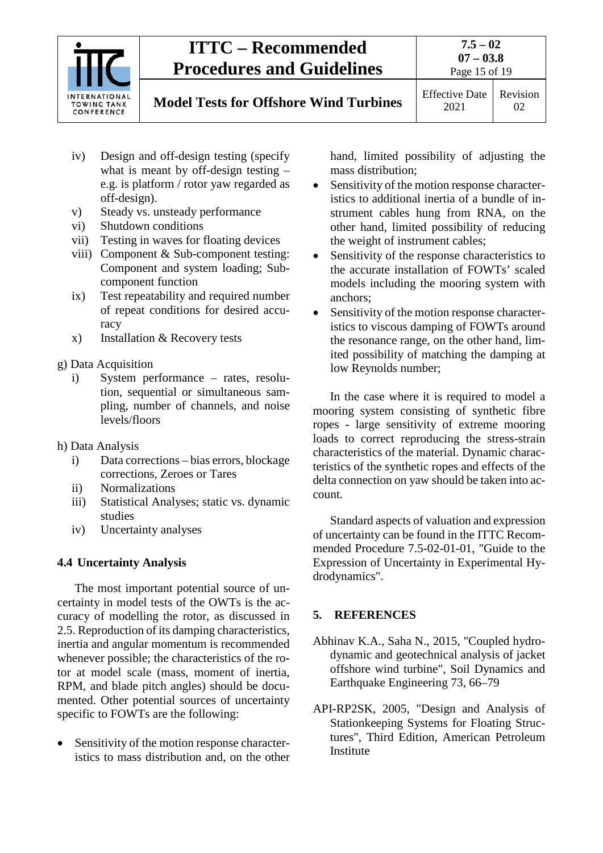

# **Model Tests for Offshore Wind Turbines** Effective Date

Page 15 of 19 Revision

- iv) Design and off-design testing (specify what is meant by off-design testing – e.g. is platform / rotor yaw regarded as off-design).
- v) Steady vs. unsteady performance
- vi) Shutdown conditions
- vii) Testing in waves for floating devices
- viii) Component & Sub-component testing: Component and system loading; Subcomponent function
- ix) Test repeatability and required number of repeat conditions for desired accuracy
- x) Installation & Recovery tests
- g) Data Acquisition
	- i) System performance rates, resolution, sequential or simultaneous sampling, number of channels, and noise levels/floors
- h) Data Analysis
	- i) Data corrections bias errors, blockage corrections, Zeroes or Tares
	- ii) Normalizations
	- iii) Statistical Analyses; static vs. dynamic studies
	- iv) Uncertainty analyses

## <span id="page-15-0"></span>**4.4 Uncertainty Analysis**

The most important potential source of uncertainty in model tests of the OWTs is the accuracy of modelling the rotor, as discussed in 2.5. Reproduction of its damping characteristics, inertia and angular momentum is recommended whenever possible; the characteristics of the rotor at model scale (mass, moment of inertia, RPM, and blade pitch angles) should be documented. Other potential sources of uncertainty specific to FOWTs are the following:

• Sensitivity of the motion response characteristics to mass distribution and, on the other hand, limited possibility of adjusting the mass distribution;

- Sensitivity of the motion response characteristics to additional inertia of a bundle of instrument cables hung from RNA, on the other hand, limited possibility of reducing the weight of instrument cables;
- Sensitivity of the response characteristics to the accurate installation of FOWTs' scaled models including the mooring system with anchors;
- Sensitivity of the motion response characteristics to viscous damping of FOWTs around the resonance range, on the other hand, limited possibility of matching the damping at low Reynolds number;

In the case where it is required to model a mooring system consisting of synthetic fibre ropes - large sensitivity of extreme mooring loads to correct reproducing the stress-strain characteristics of the material. Dynamic characteristics of the synthetic ropes and effects of the delta connection on yaw should be taken into account.

Standard aspects of valuation and expression of uncertainty can be found in the ITTC Recommended Procedure 7.5-02-01-01, "Guide to the Expression of Uncertainty in Experimental Hydrodynamics".

## <span id="page-15-1"></span>**5. REFERENCES**

- Abhinav K.A., Saha N., 2015, "Coupled hydrodynamic and geotechnical analysis of jacket offshore wind turbine", Soil Dynamics and Earthquake Engineering 73, 66–79
- API-RP2SK, 2005, "Design and Analysis of Stationkeeping Systems for Floating Structures", Third Edition, American Petroleum **Institute**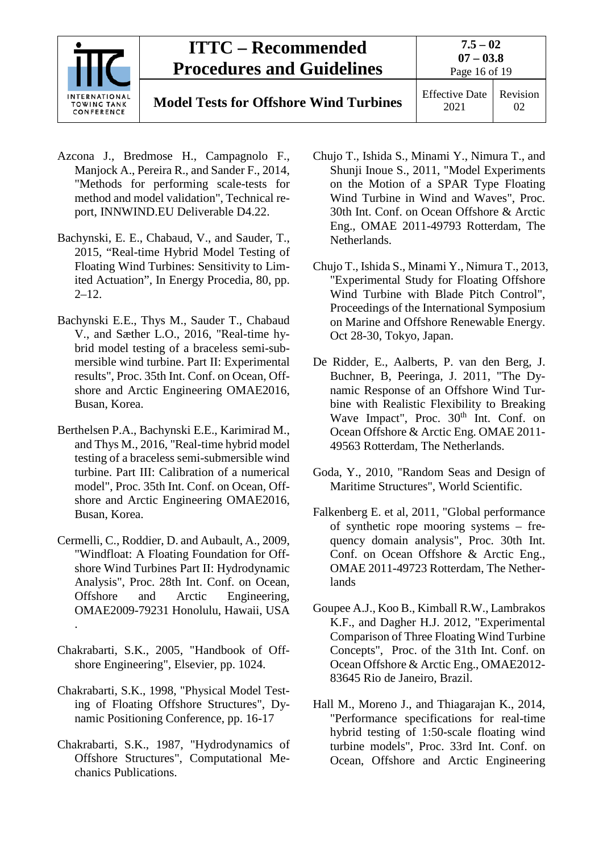

**Model Tests for Offshore Wind Turbines** Effective Date

2021 Revision 02

- Azcona J., Bredmose H., Campagnolo F., Manjock A., Pereira R., and Sander F., 2014, "Methods for performing scale-tests for method and model validation", Technical report, INNWIND.EU Deliverable D4.22.
- Bachynski, E. E., Chabaud, V., and Sauder, T., 2015, "Real-time Hybrid Model Testing of Floating Wind Turbines: Sensitivity to Limited Actuation", In Energy Procedia, 80, pp.  $2 - 12.$
- Bachynski E.E., Thys M., Sauder T., Chabaud V., and Sæther L.O., 2016, "Real-time hybrid model testing of a braceless semi-submersible wind turbine. Part II: Experimental results", Proc. 35th Int. Conf. on Ocean, Offshore and Arctic Engineering OMAE2016, Busan, Korea.
- Berthelsen P.A., Bachynski E.E., Karimirad M., and Thys M., 2016, "Real-time hybrid model testing of a braceless semi-submersible wind turbine. Part III: Calibration of a numerical model", Proc. 35th Int. Conf. on Ocean, Offshore and Arctic Engineering OMAE2016, Busan, Korea.
- Cermelli, C., Roddier, D. and Aubault, A., 2009, "Windfloat: A Floating Foundation for Offshore Wind Turbines Part II: Hydrodynamic Analysis", Proc. 28th Int. Conf. on Ocean, Offshore and Arctic Engineering, OMAE2009-79231 Honolulu, Hawaii, USA .
- Chakrabarti, S.K., 2005, "Handbook of Offshore Engineering", Elsevier, pp. 1024.
- Chakrabarti, S.K., 1998, "Physical Model Testing of Floating Offshore Structures", Dynamic Positioning Conference, pp. 16-17
- Chakrabarti, S.K., 1987, "Hydrodynamics of Offshore Structures", Computational Mechanics Publications.
- Chujo T., Ishida S., Minami Y., Nimura T., and Shunji Inoue S., 2011, "Model Experiments on the Motion of a SPAR Type Floating Wind Turbine in Wind and Waves", Proc. 30th Int. Conf. on Ocean Offshore & Arctic Eng., OMAE 2011-49793 Rotterdam, The Netherlands.
- Chujo T., Ishida S., Minami Y., Nimura T., 2013, "Experimental Study for Floating Offshore Wind Turbine with Blade Pitch Control", Proceedings of the International Symposium on Marine and Offshore Renewable Energy. Oct 28-30, Tokyo, Japan.
- De Ridder, E., Aalberts, P. van den Berg, J. Buchner, B, Peeringa, J. 2011, "The Dynamic Response of an Offshore Wind Turbine with Realistic Flexibility to Breaking Wave Impact", Proc. 30<sup>th</sup> Int. Conf. on Ocean Offshore & Arctic Eng. OMAE 2011- 49563 Rotterdam, The Netherlands.
- Goda, Y., 2010, "Random Seas and Design of Maritime Structures", World Scientific.
- Falkenberg E. et al, 2011, "Global performance of synthetic rope mooring systems – frequency domain analysis", Proc. 30th Int. Conf. on Ocean Offshore & Arctic Eng., OMAE 2011-49723 Rotterdam, The Netherlands
- Goupee A.J., Koo B., Kimball R.W., Lambrakos K.F., and Dagher H.J. 2012, "Experimental Comparison of Three Floating Wind Turbine Concepts", Proc. of the 31th Int. Conf. on Ocean Offshore & Arctic Eng., OMAE2012- 83645 Rio de Janeiro, Brazil.
- Hall M., Moreno J., and Thiagarajan K., 2014, "Performance specifications for real-time hybrid testing of 1:50-scale floating wind turbine models", Proc. 33rd Int. Conf. on Ocean, Offshore and Arctic Engineering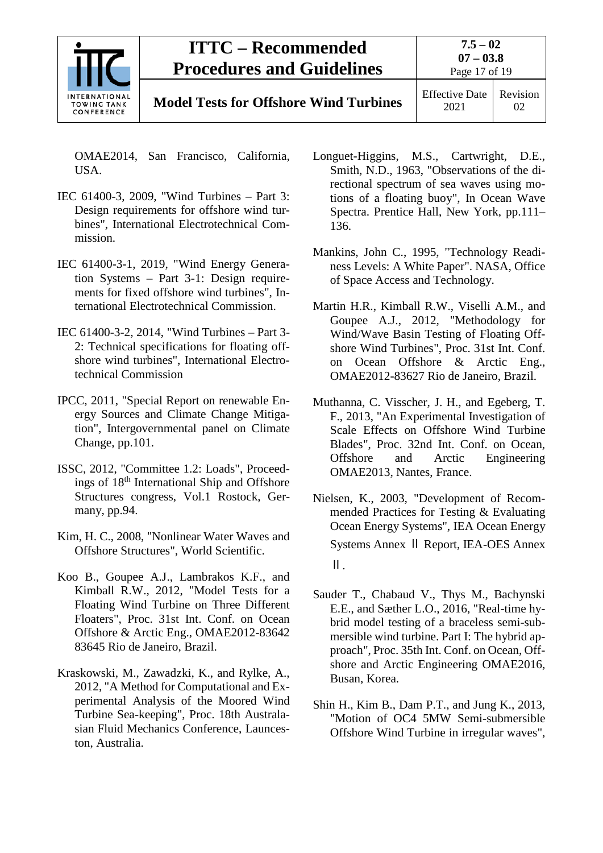

2021 Revision 02

OMAE2014, San Francisco, California, USA.

- IEC 61400-3, 2009, "Wind Turbines Part 3: Design requirements for offshore wind turbines", International Electrotechnical Commission.
- IEC 61400-3-1, 2019, "Wind Energy Generation Systems – Part 3-1: Design requirements for fixed offshore wind turbines", International Electrotechnical Commission.
- IEC 61400-3-2, 2014, "Wind Turbines Part 3- 2: Technical specifications for floating offshore wind turbines", International Electrotechnical Commission
- IPCC, 2011, "Special Report on renewable Energy Sources and Climate Change Mitigation", Intergovernmental panel on Climate Change, pp.101.
- ISSC, 2012, "Committee 1.2: Loads", Proceedings of 18th International Ship and Offshore Structures congress, Vol.1 Rostock, Germany, pp.94.
- Kim, H. C., 2008, "Nonlinear Water Waves and Offshore Structures", World Scientific.
- Koo B., Goupee A.J., Lambrakos K.F., and Kimball R.W., 2012, "Model Tests for a Floating Wind Turbine on Three Different Floaters", Proc. 31st Int. Conf. on Ocean Offshore & Arctic Eng., OMAE2012-83642 83645 Rio de Janeiro, Brazil.
- Kraskowski, M., Zawadzki, K., and Rylke, A., 2012, "A Method for Computational and Experimental Analysis of the Moored Wind Turbine Sea-keeping", Proc. 18th Australasian Fluid Mechanics Conference, Launceston, Australia.
- Longuet-Higgins, M.S., Cartwright, D.E., Smith, N.D., 1963, "Observations of the directional spectrum of sea waves using motions of a floating buoy", In Ocean Wave Spectra. Prentice Hall, New York, pp.111– 136.
- Mankins, John C., 1995, "Technology Readiness Levels: A White Paper". NASA, Office of Space Access and Technology.
- Martin H.R., Kimball R.W., Viselli A.M., and Goupee A.J., 2012, "Methodology for Wind/Wave Basin Testing of Floating Offshore Wind Turbines", Proc. 31st Int. Conf. on Ocean Offshore & Arctic Eng., OMAE2012-83627 Rio de Janeiro, Brazil.
- Muthanna, C. Visscher, J. H., and Egeberg, T. F., 2013, "An Experimental Investigation of Scale Effects on Offshore Wind Turbine Blades", Proc. 32nd Int. Conf. on Ocean, Offshore and Arctic Engineering OMAE2013, Nantes, France.
- Nielsen, K., 2003, "Development of Recommended Practices for Testing & Evaluating Ocean Energy Systems", IEA Ocean Energy Systems Annex Ⅱ Report, IEA-OES Annex Ⅱ.
- Sauder T., Chabaud V., Thys M., Bachynski E.E., and Sæther L.O., 2016, "Real-time hybrid model testing of a braceless semi-submersible wind turbine. Part I: The hybrid approach", Proc. 35th Int. Conf. on Ocean, Offshore and Arctic Engineering OMAE2016, Busan, Korea.
- Shin H., Kim B., Dam P.T., and Jung K., 2013, "Motion of OC4 5MW Semi-submersible Offshore Wind Turbine in irregular waves",